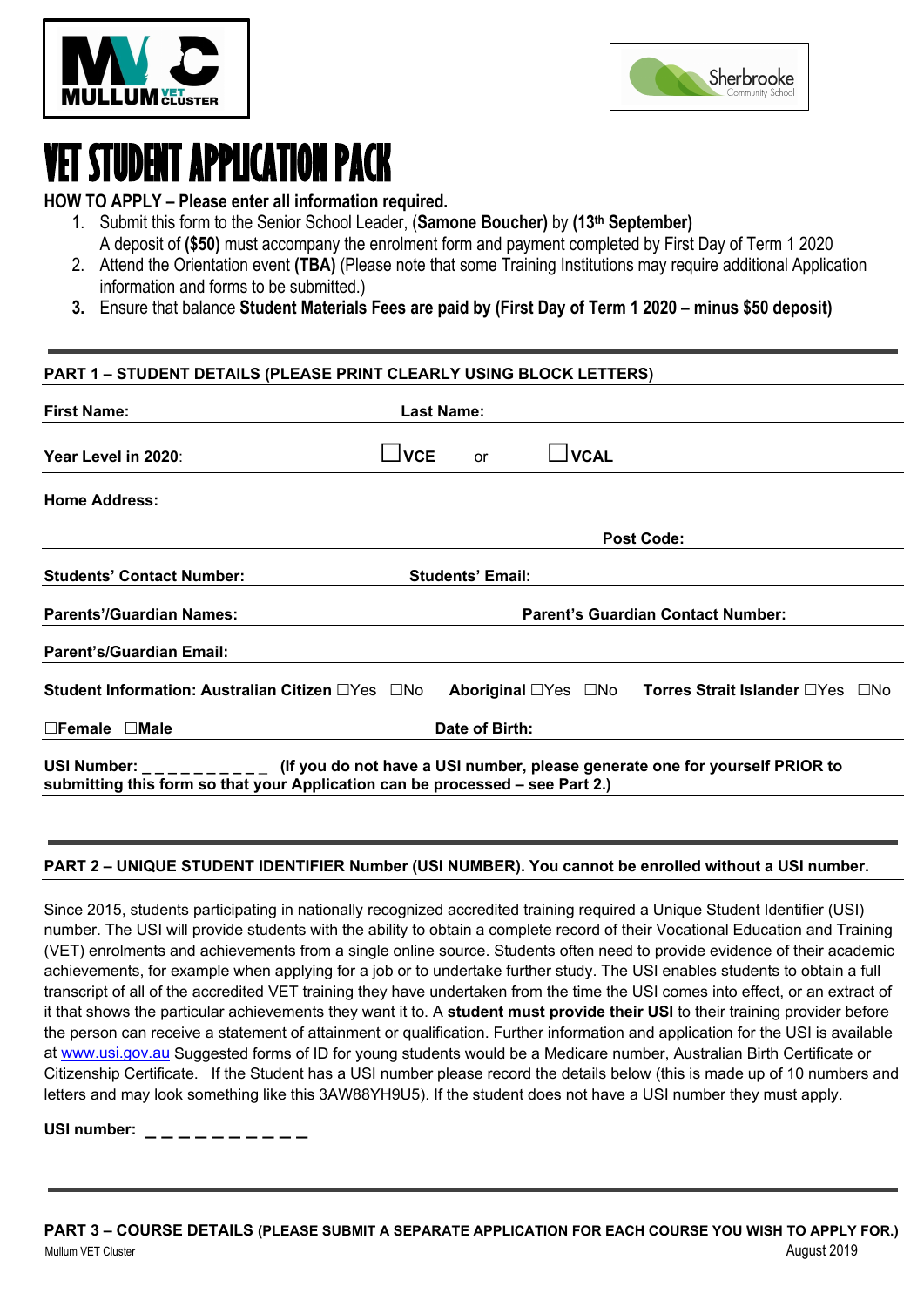



# **VET STUDENT APPLICATION PACK**

**HOW TO APPLY – Please enter all information required.**

- 1. Submit this form to the Senior School Leader, (**Samone Boucher)** by **(13th September)**
	- A deposit of **(\$50)** must accompany the enrolment form and payment completed by First Day of Term 1 2020
- 2. Attend the Orientation event **(TBA)** (Please note that some Training Institutions may require additional Application information and forms to be submitted.)
- **3.** Ensure that balance **Student Materials Fees are paid by (First Day of Term 1 2020 – minus \$50 deposit)**

### **PART 1 – STUDENT DETAILS (PLEASE PRINT CLEARLY USING BLOCK LETTERS)**

| <b>First Name:</b>                                                                                                                                                                |                                          | <b>Last Name:</b>       |                               |                                                     |
|-----------------------------------------------------------------------------------------------------------------------------------------------------------------------------------|------------------------------------------|-------------------------|-------------------------------|-----------------------------------------------------|
| Year Level in 2020:                                                                                                                                                               | $\overline{\phantom{a}}$ VCE             | or                      | $\overline{\phantom{a}}$ VCAL |                                                     |
| <b>Home Address:</b>                                                                                                                                                              |                                          |                         |                               |                                                     |
|                                                                                                                                                                                   |                                          |                         |                               | <b>Post Code:</b>                                   |
| <b>Students' Contact Number:</b>                                                                                                                                                  |                                          | <b>Students' Email:</b> |                               |                                                     |
| <b>Parents'/Guardian Names:</b>                                                                                                                                                   | <b>Parent's Guardian Contact Number:</b> |                         |                               |                                                     |
| <b>Parent's/Guardian Email:</b>                                                                                                                                                   |                                          |                         |                               |                                                     |
| Student Information: Australian Citizen □Yes □No                                                                                                                                  |                                          |                         |                               | Aboriginal □Yes □No Torres Strait Islander □Yes □No |
| Date of Birth:<br>$\square$ Female $\square$ Male                                                                                                                                 |                                          |                         |                               |                                                     |
| USI Number: ________ (If you do not have a USI number, please generate one for yourself PRIOR to<br>submitting this form so that your Application can be processed – see Part 2.) |                                          |                         |                               |                                                     |

### **PART 2 – UNIQUE STUDENT IDENTIFIER Number (USI NUMBER). You cannot be enrolled without a USI number.**

Since 2015, students participating in nationally recognized accredited training required a Unique Student Identifier (USI) number. The USI will provide students with the ability to obtain a complete record of their Vocational Education and Training (VET) enrolments and achievements from a single online source. Students often need to provide evidence of their academic achievements, for example when applying for a job or to undertake further study. The USI enables students to obtain a full transcript of all of the accredited VET training they have undertaken from the time the USI comes into effect, or an extract of it that shows the particular achievements they want it to. A **student must provide their USI** to their training provider before the person can receive a statement of attainment or qualification. Further information and application for the USI is available at [www.usi.gov.au](http://www.usi.gov.au/) Suggested forms of ID for young students would be a Medicare number, Australian Birth Certificate or Citizenship Certificate. If the Student has a USI number please record the details below (this is made up of 10 numbers and letters and may look something like this 3AW88YH9U5). If the student does not have a USI number they must apply.

**USI number: \_ \_ \_ \_ \_ \_ \_ \_ \_ \_**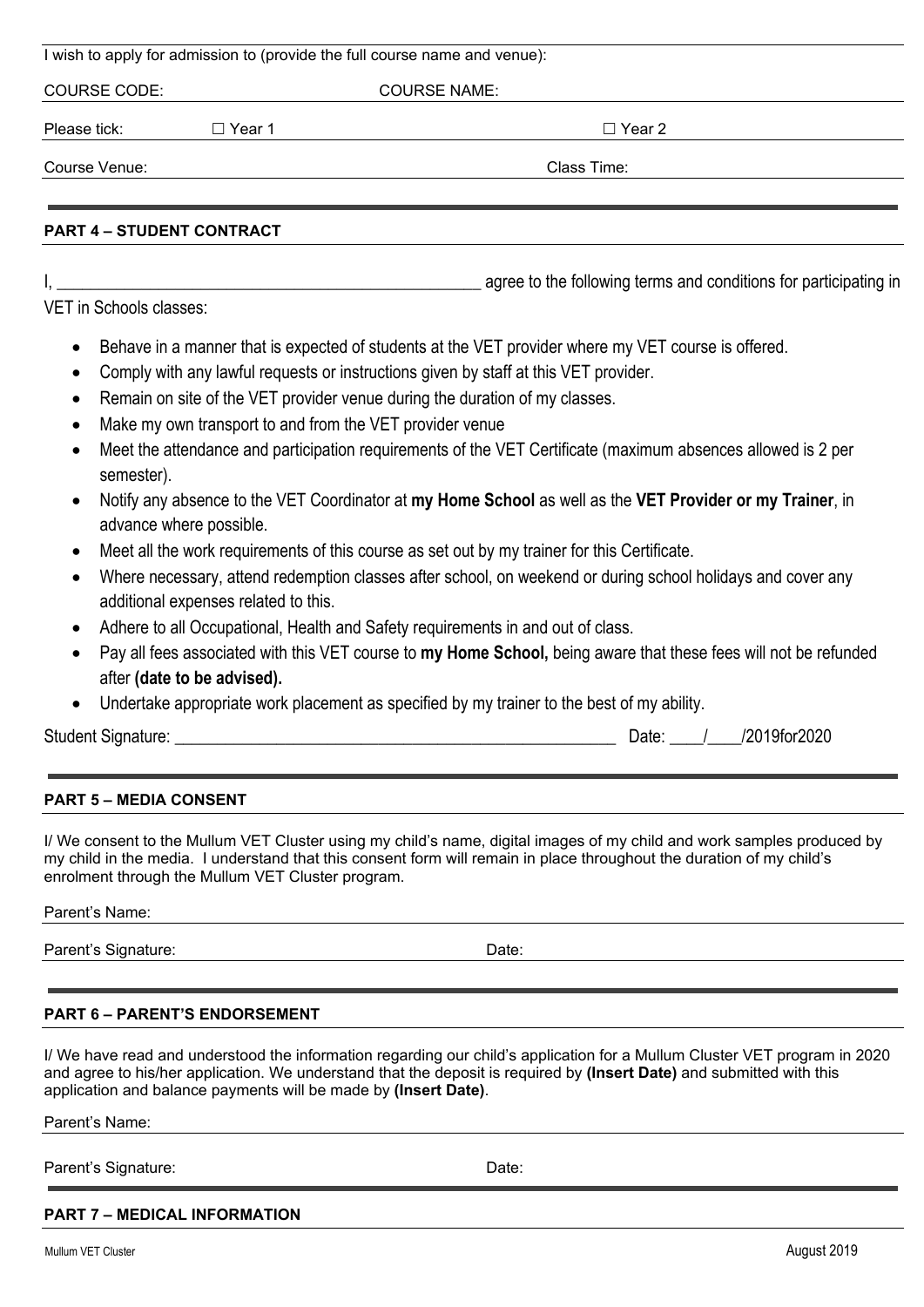|                                                                                        | I wish to apply for admission to (provide the full course hame and venue):                                                                                                                                                                                                                                                                                                                                                                                                                                                                                                                                                                                                                                                                                                         |
|----------------------------------------------------------------------------------------|------------------------------------------------------------------------------------------------------------------------------------------------------------------------------------------------------------------------------------------------------------------------------------------------------------------------------------------------------------------------------------------------------------------------------------------------------------------------------------------------------------------------------------------------------------------------------------------------------------------------------------------------------------------------------------------------------------------------------------------------------------------------------------|
| <b>COURSE CODE:</b>                                                                    | <b>COURSE NAME:</b>                                                                                                                                                                                                                                                                                                                                                                                                                                                                                                                                                                                                                                                                                                                                                                |
| Please tick:                                                                           | □ Year 1<br>$\Box$ Year 2                                                                                                                                                                                                                                                                                                                                                                                                                                                                                                                                                                                                                                                                                                                                                          |
| Course Venue:                                                                          | Class Time:                                                                                                                                                                                                                                                                                                                                                                                                                                                                                                                                                                                                                                                                                                                                                                        |
|                                                                                        |                                                                                                                                                                                                                                                                                                                                                                                                                                                                                                                                                                                                                                                                                                                                                                                    |
| <b>PART 4 - STUDENT CONTRACT</b>                                                       |                                                                                                                                                                                                                                                                                                                                                                                                                                                                                                                                                                                                                                                                                                                                                                                    |
|                                                                                        | agree to the following terms and conditions for participating in                                                                                                                                                                                                                                                                                                                                                                                                                                                                                                                                                                                                                                                                                                                   |
| VET in Schools classes:                                                                |                                                                                                                                                                                                                                                                                                                                                                                                                                                                                                                                                                                                                                                                                                                                                                                    |
| ٠<br>$\bullet$<br>٠<br>$\bullet$<br>semester).<br>$\bullet$<br>advance where possible. | Behave in a manner that is expected of students at the VET provider where my VET course is offered.<br>Comply with any lawful requests or instructions given by staff at this VET provider.<br>Remain on site of the VET provider venue during the duration of my classes.<br>Make my own transport to and from the VET provider venue<br>Meet the attendance and participation requirements of the VET Certificate (maximum absences allowed is 2 per<br>Notify any absence to the VET Coordinator at my Home School as well as the VET Provider or my Trainer, in<br>Meet all the work requirements of this course as set out by my trainer for this Certificate.<br>Where necessary, attend redemption classes after school, on weekend or during school holidays and cover any |
| after (date to be advised).<br>$\bullet$                                               | additional expenses related to this.<br>Adhere to all Occupational, Health and Safety requirements in and out of class.<br>Pay all fees associated with this VET course to my Home School, being aware that these fees will not be refunded<br>Undertake appropriate work placement as specified by my trainer to the best of my ability.                                                                                                                                                                                                                                                                                                                                                                                                                                          |
|                                                                                        | Date: /<br>/2019for2020                                                                                                                                                                                                                                                                                                                                                                                                                                                                                                                                                                                                                                                                                                                                                            |
| <b>PART 5 - MEDIA CONSENT</b>                                                          |                                                                                                                                                                                                                                                                                                                                                                                                                                                                                                                                                                                                                                                                                                                                                                                    |
|                                                                                        | I/ We consent to the Mullum VET Cluster using my child's name, digital images of my child and work samples produced by<br>my child in the media. I understand that this consent form will remain in place throughout the duration of my child's<br>enrolment through the Mullum VET Cluster program.                                                                                                                                                                                                                                                                                                                                                                                                                                                                               |
| Parent's Name:                                                                         |                                                                                                                                                                                                                                                                                                                                                                                                                                                                                                                                                                                                                                                                                                                                                                                    |
| Parent's Signature:                                                                    | Date:                                                                                                                                                                                                                                                                                                                                                                                                                                                                                                                                                                                                                                                                                                                                                                              |

I wish to apply for admission to (provide the full course name and venue):

### **PART 6 – PARENT'S ENDORSEMENT**

I/ We have read and understood the information regarding our child's application for a Mullum Cluster VET program in 2020 and agree to his/her application. We understand that the deposit is required by **(Insert Date)** and submitted with this application and balance payments will be made by **(Insert Date)**.

Parent's Name:

Parent's Signature: Date: Date:

### **PART 7 – MEDICAL INFORMATION**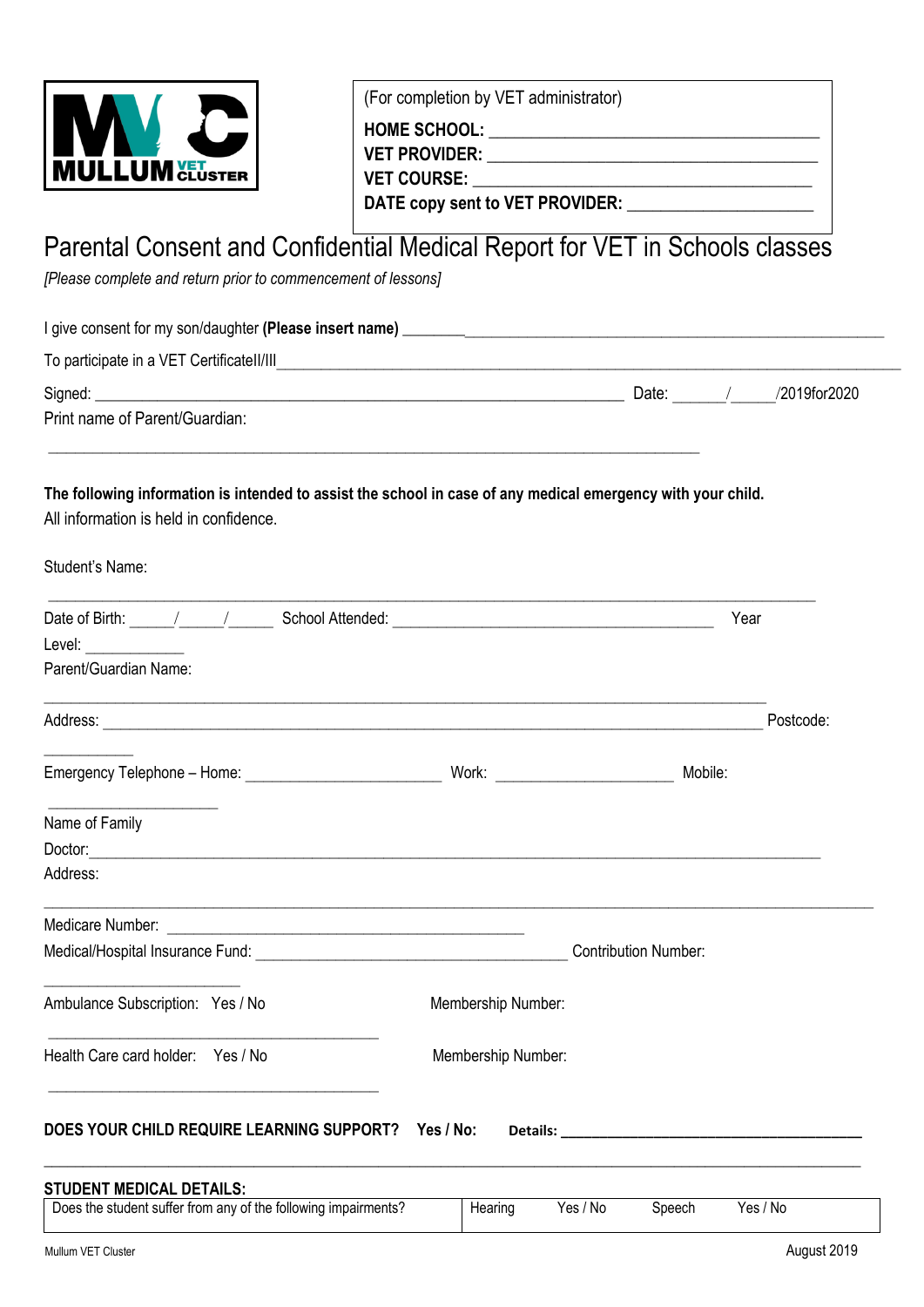

(For completion by VET administrator)

**HOME SCHOOL:**  $\blacksquare$ **VET PROVIDER: \_\_\_\_\_\_\_\_\_\_\_\_\_\_\_\_\_\_\_\_\_\_\_\_\_\_\_\_\_\_\_\_\_\_\_\_\_\_\_ VET COURSE: \_\_\_\_\_\_\_\_\_\_\_\_\_\_\_\_\_\_\_\_\_\_\_\_\_\_\_\_\_\_\_\_\_\_\_\_\_\_\_\_**

DATE copy sent to VET PROVIDER:

## Parental Consent and Confidential Medical Report for VET in Schools classes

*[Please complete and return prior to commencement of lessons]*

| I give consent for my son/daughter (Please insert name) |       |              |
|---------------------------------------------------------|-------|--------------|
| To participate in a VET Certificatell/III               |       |              |
| Signed:                                                 | Date: | /2019for2020 |
| Print name of Parent/Guardian:                          |       |              |

### **The following information is intended to assist the school in case of any medical emergency with your child.**

 $\mathcal{L}_\text{max} = \frac{1}{2} \sum_{i=1}^n \mathcal{L}_\text{max}(\mathbf{x}_i - \mathbf{y}_i)$ 

All information is held in confidence.

| Student's Name:                                                                                                        |                    |                                                                                                                                                                                                                                |
|------------------------------------------------------------------------------------------------------------------------|--------------------|--------------------------------------------------------------------------------------------------------------------------------------------------------------------------------------------------------------------------------|
| Level: _____________<br>Parent/Guardian Name:                                                                          |                    | Year                                                                                                                                                                                                                           |
| Address: <u>Quarter and Communications and Communications and Communications and Communications and Communications</u> |                    | Postcode:                                                                                                                                                                                                                      |
|                                                                                                                        |                    |                                                                                                                                                                                                                                |
| Name of Family                                                                                                         |                    |                                                                                                                                                                                                                                |
| Address:                                                                                                               |                    |                                                                                                                                                                                                                                |
|                                                                                                                        |                    |                                                                                                                                                                                                                                |
|                                                                                                                        |                    | <b>Contribution Number:</b>                                                                                                                                                                                                    |
| Ambulance Subscription: Yes / No                                                                                       | Membership Number: |                                                                                                                                                                                                                                |
| Health Care card holder: Yes / No                                                                                      | Membership Number: |                                                                                                                                                                                                                                |
| DOES YOUR CHILD REQUIRE LEARNING SUPPORT? Yes / No:                                                                    |                    | Details: The contract of the contract of the contract of the contract of the contract of the contract of the contract of the contract of the contract of the contract of the contract of the contract of the contract of the c |
| <b>STUDENT MEDICAL DETAILS:</b>                                                                                        |                    |                                                                                                                                                                                                                                |
| Does the student suffer from any of the following impairments?                                                         | Hearing            | Yes / No<br>Yes / No<br>Speech                                                                                                                                                                                                 |